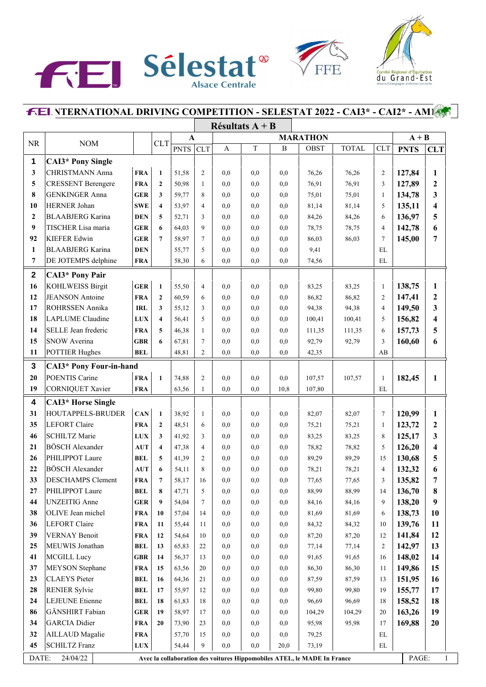





## **INTERNATIONAL DRIVING COMPETITION - SELESTAT 2022 - CAI3\* - CAI2\* - AM1**

|                  |                                |             |                         |             |                |                 | Résultats $A + B$ |              |                                                                         |              |                |             |                         |  |
|------------------|--------------------------------|-------------|-------------------------|-------------|----------------|-----------------|-------------------|--------------|-------------------------------------------------------------------------|--------------|----------------|-------------|-------------------------|--|
|                  |                                |             |                         | A           |                | <b>MARATHON</b> |                   |              |                                                                         |              |                | $A + B$     |                         |  |
| <b>NR</b>        | <b>NOM</b>                     |             | <b>CLT</b>              | <b>PNTS</b> | <b>CLT</b>     | A               | $\mathbf T$       | $\, {\bf B}$ | OBST                                                                    | <b>TOTAL</b> | <b>CLT</b>     | <b>PNTS</b> | <b>CLT</b>              |  |
| 1                | <b>CAI3*</b> Pony Single       |             |                         |             |                |                 |                   |              |                                                                         |              |                |             |                         |  |
| 3                | CHRISTMANN Anna                | <b>FRA</b>  | $\mathbf{1}$            | 51,58       | $\mathfrak{2}$ | 0,0             | 0.0               | 0,0          | 76,26                                                                   | 76,26        | $\overline{c}$ | 127,84      | $\mathbf{1}$            |  |
| 5                | <b>CRESSENT Berengere</b>      | <b>FRA</b>  | $\mathbf{2}$            | 50,98       | $\mathbf{1}$   | 0,0             | 0.0               | 0,0          | 76,91                                                                   | 76,91        | 3              | 127,89      | $\boldsymbol{2}$        |  |
| 8                | <b>GENKINGER Anna</b>          | <b>GER</b>  | 3                       | 59,77       | 8              | 0,0             | 0.0               | 0,0          | 75,01                                                                   | 75,01        | $\mathbf{1}$   | 134,78      | 3                       |  |
| 10               | HERNER Johan                   | <b>SWE</b>  | $\overline{\mathbf{4}}$ | 53,97       | $\overline{4}$ | 0,0             | 0.0               | 0,0          | 81,14                                                                   | 81,14        | 5              | 135,11      | $\overline{\mathbf{4}}$ |  |
| $\mathbf{2}$     | <b>BLAABJERG</b> Karina        | <b>DEN</b>  | 5                       | 52,71       | 3              | 0,0             | 0.0               | 0,0          | 84,26                                                                   | 84,26        | 6              | 136,97      | 5                       |  |
| 9                | TISCHER Lisa maria             | <b>GER</b>  | 6                       | 64,03       | 9              | 0,0             | 0,0               | 0,0          | 78,75                                                                   | 78,75        | 4              | 142,78      | 6                       |  |
| 92               | <b>KIEFER Edwin</b>            | <b>GER</b>  | $7\phantom{.0}$         | 58,97       | 7              | 0,0             | 0.0               | 0,0          | 86,03                                                                   | 86,03        | $\overline{7}$ | 145,00      | 7                       |  |
| 1                | <b>BLAABJERG</b> Karina        | <b>DEN</b>  |                         | 55,77       | 5              | 0,0             | 0.0               | 0,0          | 9,41                                                                    |              | EL             |             |                         |  |
| 7                | DE JOTEMPS delphine            | <b>FRA</b>  |                         | 58,30       | 6              | 0,0             | 0,0               | 0,0          | 74,56                                                                   |              | EL             |             |                         |  |
| $\boldsymbol{2}$ | <b>CAI3*</b> Pony Pair         |             |                         |             |                |                 |                   |              |                                                                         |              |                |             |                         |  |
| 16               | <b>KOHLWEISS Birgit</b>        | <b>GER</b>  | $\mathbf{1}$            | 55,50       | $\overline{4}$ | 0.0             | 0.0               | 0,0          | 83,25                                                                   | 83,25        | $\mathbf{1}$   | 138,75      | 1                       |  |
| 12               | <b>JEANSON</b> Antoine         | <b>FRA</b>  | $\overline{2}$          | 60,59       | 6              | 0,0             | 0.0               | 0,0          | 86,82                                                                   | 86,82        | 2              | 147,41      | $\boldsymbol{2}$        |  |
| 17               | ROHRSSEN Annika                | <b>IRL</b>  | 3                       | 55,12       | 3              | 0,0             | 0.0               | 0,0          | 94,38                                                                   | 94,38        | 4              | 149,50      | 3                       |  |
| 18               | <b>LAPLUME</b> Claudine        | <b>LUX</b>  | $\overline{\mathbf{4}}$ | 56,41       | 5              | 0,0             | 0.0               | 0,0          | 100,41                                                                  | 100,41       | 5              | 156,82      | $\overline{\mathbf{4}}$ |  |
| 14               | SELLE Jean frederic            | <b>FRA</b>  | 5                       | 46,38       | $\mathbf{1}$   | 0,0             | 0.0               | 0,0          | 111,35                                                                  | 111,35       | 6              | 157,73      | 5                       |  |
| 15               | SNOW Averina                   | <b>GBR</b>  | 6                       | 67,81       | $\overline{7}$ | 0,0             | 0.0               | 0,0          | 92,79                                                                   | 92,79        | 3              | 160,60      | 6                       |  |
| 11               | <b>POTTIER Hughes</b>          | <b>BEL</b>  |                         | 48,81       | $\overline{c}$ | 0,0             | 0,0               | 0,0          | 42,35                                                                   |              | AB             |             |                         |  |
| $\mathbf{3}$     | <b>CAI3*</b> Pony Four-in-hand |             |                         |             |                |                 |                   |              |                                                                         |              |                |             |                         |  |
| 20               | POENTIS Carine                 | <b>FRA</b>  | $\mathbf{1}$            | 74,88       | $\mathfrak{2}$ | 0,0             | 0.0               | 0,0          | 107,57                                                                  | 107,57       | $\mathbf{1}$   | 182,45      | $\mathbf{1}$            |  |
| 19               | <b>CORNIQUET Xavier</b>        | <b>FRA</b>  |                         | 63,56       | $\mathbf{1}$   | 0,0             | 0,0               | 10,8         | 107,80                                                                  |              | EL             |             |                         |  |
| 4                | CAI3* Horse Single             |             |                         |             |                |                 |                   |              |                                                                         |              |                |             |                         |  |
| 31               | HOUTAPPELS-BRUDER              | CAN         | $\mathbf{1}$            | 38,92       | $\mathbf{1}$   | 0,0             | 0.0               | 0,0          | 82,07                                                                   | 82,07        | $\tau$         | 120,99      | 1                       |  |
| 35               | LEFORT Claire                  | <b>FRA</b>  | $\mathbf{2}$            | 48,51       | 6              | 0,0             | 0,0               | 0,0          | 75,21                                                                   | 75,21        | 1              | 123,72      | $\boldsymbol{2}$        |  |
| 46               | <b>SCHILTZ Marie</b>           | <b>LUX</b>  | 3                       | 41,92       | 3              | 0,0             | 0.0               | 0,0          | 83,25                                                                   | 83,25        | 8              | 125,17      | 3                       |  |
| 21               | <b>BÖSCH</b> Alexander         | <b>AUT</b>  | $\overline{\mathbf{4}}$ | 47,38       | 4              | 0,0             | 0,0               | 0,0          | 78,82                                                                   | 78,82        | 5              | 126,20      | 4                       |  |
| 26               | PHILIPPOT Laure                | <b>BEL</b>  | 5                       | 41,39       | $\overline{c}$ | 0,0             | 0.0               | 0,0          | 89,29                                                                   | 89,29        | 15             | 130,68      | 5                       |  |
| 22               | <b>BÖSCH</b> Alexander         | <b>AUT</b>  | 6                       | 54,11       | 8              | 0,0             | 0,0               | 0,0          | 78,21                                                                   | 78,21        | 4              | 132,32      | 6                       |  |
| 33               | <b>DESCHAMPS Clement</b>       | <b>FRA</b>  | $\overline{7}$          | 58,17       | 16             | 0,0             | 0,0               | 0,0          | 77,65                                                                   | 77,65        | 3              | 135,82      | 7                       |  |
| 27               | PHILIPPOT Laure                | <b>BEL</b>  | 8                       | 47,71       | 5              | $\rm 0,0$       | 0,0               | 0,0          | 88,99                                                                   | 88,99        | 14             | 136,70      | 8                       |  |
| 44               | <b>UNZEITIG</b> Anne           | <b>GER</b>  | 9                       | 54,04       | $\tau$         | 0,0             | 0,0               | 0,0          | 84,16                                                                   | 84,16        | 9              | 138,20      | 9                       |  |
| 38               | OLIVE Jean michel              | <b>FRA</b>  | 10                      | 57,04       | 14             | 0,0             | 0,0               | 0,0          | 81,69                                                                   | 81,69        | 6              | 138,73      | 10                      |  |
| 36               | <b>LEFORT</b> Claire           | <b>FRA</b>  | 11                      | 55,44       | 11             | 0,0             | 0,0               | 0,0          | 84,32                                                                   | 84,32        | 10             | 139,76      | 11                      |  |
| 39               | <b>VERNAY Benoit</b>           | <b>FRA</b>  | 12                      | 54,64       | 10             | 0,0             | 0,0               | 0,0          | 87,20                                                                   | 87,20        | 12             | 141,84      | 12                      |  |
| 25               | MEUWIS Jonathan                | <b>BEL</b>  | 13                      | 65,83       | 22             | 0,0             | 0,0               | 0,0          | 77,14                                                                   | 77,14        | 2              | 142,97      | 13                      |  |
| 41               | <b>MCGILL Lucy</b>             | <b>GBR</b>  | 14                      | 56,37       | 13             | 0,0             | 0,0               | 0,0          | 91,65                                                                   | 91,65        | 16             | 148,02      | 14                      |  |
| 37               | MEYSON Stephane                | <b>FRA</b>  | 15                      | 63,56       | 20             | 0,0             | 0,0               | 0,0          | 86,30                                                                   | 86,30        | 11             | 149,86      | 15                      |  |
| 23               | <b>CLAEYS</b> Pieter           | <b>BEL</b>  | 16                      | 64,36       | 21             | 0,0             | 0,0               | 0,0          | 87,59                                                                   | 87,59        | 13             | 151,95      | 16                      |  |
| 28               | <b>RENIER Sylvie</b>           | <b>BEL</b>  | 17                      | 55,97       | 12             | 0,0             | 0,0               | 0,0          | 99,80                                                                   | 99,80        | 19             | 155,77      | 17                      |  |
| 24               | LEJEUNE Etienne                | <b>BEL</b>  | 18                      | 61,83       | 18             | 0,0             | 0,0               | 0,0          | 96,69                                                                   | 96,69        | 18             | 158,52      | 18                      |  |
| 86               | GÄNSHIRT Fabian                | <b>GER</b>  | 19                      | 58,97       | 17             | 0,0             | 0,0               | 0,0          | 104,29                                                                  | 104,29       | 20             | 163,26      | 19                      |  |
| 34               | <b>GARCIA</b> Didier           | <b>FRA</b>  | 20                      | 73,90       | 23             | 0,0             | 0,0               | 0,0          | 95,98                                                                   | 95,98        | 17             | 169,88      | 20                      |  |
| 32               | AILLAUD Magalie                | <b>FRA</b>  |                         | 57,70       | 15             | 0,0             | 0,0               | 0,0          | 79,25                                                                   |              | EL             |             |                         |  |
| 45               | <b>SCHILTZ Franz</b>           | ${\bf LUX}$ |                         | 54,44       | 9              | 0,0             | 0,0               | 20,0         | 73,19                                                                   |              | EL             |             |                         |  |
| DATE:            | 24/04/22                       |             |                         |             |                |                 |                   |              | Avec la collaboration des voitures Hippomobiles ATEL, le MADE In France |              |                | PAGE:       | $\mathbf{1}$            |  |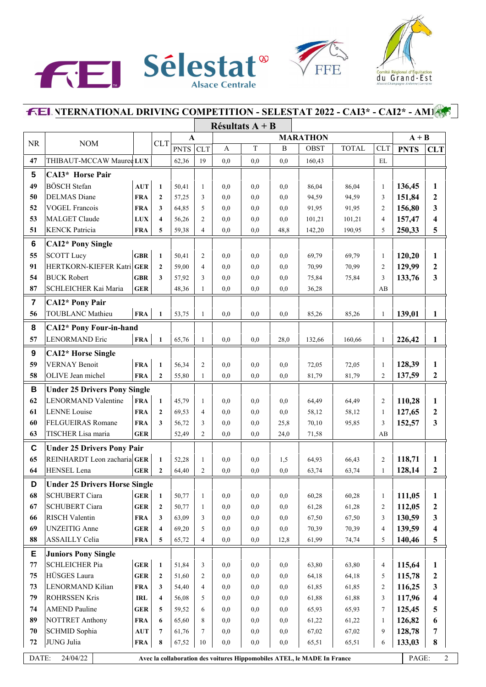



FFE

## **INTERNATIONAL DRIVING COMPETITION - SELESTAT 2022 - CAI3\* - CAI2\* - AM1**

|                         |                                      |                                  |                         |             |                |     | Résultats $A + B$ |              |                                                                         |              |                |             |                  |
|-------------------------|--------------------------------------|----------------------------------|-------------------------|-------------|----------------|-----|-------------------|--------------|-------------------------------------------------------------------------|--------------|----------------|-------------|------------------|
|                         |                                      | A                                |                         |             |                |     | <b>MARATHON</b>   | $A + B$      |                                                                         |              |                |             |                  |
| <b>NR</b>               | <b>NOM</b>                           |                                  | <b>CLT</b>              | <b>PNTS</b> | <b>CLT</b>     | A   | $\mathbf T$       | $\, {\bf B}$ | <b>OBST</b>                                                             | <b>TOTAL</b> | CLT            | <b>PNTS</b> | <b>CLT</b>       |
| 47                      | THIBAUT-MCCAW Mauree LUX             |                                  |                         | 62,36       | 19             | 0,0 | 0,0               | 0,0          | 160,43                                                                  |              | EL             |             |                  |
| $5\phantom{.0}$         | CAI3* Horse Pair                     |                                  |                         |             |                |     |                   |              |                                                                         |              |                |             |                  |
| 49                      | <b>BÖSCH</b> Stefan                  | AUT                              | $\mathbf{1}$            | 50,41       | 1              | 0,0 | 0.0               | 0,0          | 86,04                                                                   | 86,04        | 1              | 136,45      | 1                |
| 50                      | <b>DELMAS</b> Diane                  | <b>FRA</b>                       | $\mathbf{2}$            | 57,25       | 3              | 0.0 | 0,0               | 0,0          | 94,59                                                                   | 94,59        | 3              | 151,84      | 2                |
| 52                      | <b>VOGEL Francois</b>                | <b>FRA</b>                       | 3                       | 64,85       | 5              | 0,0 | 0,0               | 0,0          | 91,95                                                                   | 91,95        | $\mathfrak{2}$ | 156,80      | 3                |
| 53                      | <b>MALGET Claude</b>                 | <b>LUX</b>                       | $\overline{\mathbf{4}}$ | 56,26       | $\overline{2}$ | 0,0 | 0,0               | 0,0          | 101,21                                                                  | 101,21       | $\overline{4}$ | 157,47      | 4                |
| 51                      | <b>KENCK Patricia</b>                | <b>FRA</b>                       | 5                       | 59,38       | 4              | 0,0 | 0,0               | 48,8         | 142,20                                                                  | 190,95       | 5              | 250,33      | 5                |
| $\bf 6$                 | <b>CAI2*</b> Pony Single             |                                  |                         |             |                |     |                   |              |                                                                         |              |                |             |                  |
| 55                      | <b>SCOTT Lucy</b>                    | <b>GBR</b>                       | $\mathbf{1}$            | 50,41       | $\overline{2}$ | 0.0 | 0,0               | 0,0          | 69,79                                                                   | 69,79        | $\mathbf{1}$   | 120,20      | 1                |
| 91                      | HERTKORN-KIEFER Katri GER            |                                  | $\mathbf{2}$            | 59,00       | $\overline{4}$ | 0,0 | 0,0               | 0,0          | 70,99                                                                   | 70,99        | $\overline{c}$ | 129,99      | $\boldsymbol{2}$ |
| 54                      | <b>BUCK Robert</b>                   | <b>GBR</b>                       | 3                       | 57,92       | 3              | 0,0 | 0,0               | 0,0          | 75,84                                                                   | 75,84        | 3              | 133,76      | 3                |
| 87                      | SCHLEICHER Kai Maria                 | <b>GER</b>                       |                         | 48,36       | 1              | 0,0 | 0,0               | 0,0          | 36,28                                                                   |              | AB             |             |                  |
| $\overline{\mathbf{r}}$ | <b>CAI2*</b> Pony Pair               |                                  |                         |             |                |     |                   |              |                                                                         |              |                |             |                  |
| 56                      | <b>TOUBLANC Mathieu</b>              | <b>FRA</b>                       | $\mathbf{1}$            | 53,75       | 1              | 0,0 | 0,0               | 0,0          | 85,26                                                                   | 85,26        | $\mathbf{1}$   | 139,01      | $\mathbf{1}$     |
| 8                       | <b>CAI2*</b> Pony Four-in-hand       |                                  |                         |             |                |     |                   |              |                                                                         |              |                |             |                  |
| 57                      | <b>LENORMAND Eric</b>                | <b>FRA</b>                       | $\mathbf{1}$            | 65,76       | $\mathbf{1}$   | 0,0 | 0,0               | 28,0         | 132,66                                                                  | 160,66       | $\mathbf{1}$   | 226,42      | $\mathbf{1}$     |
|                         |                                      |                                  |                         |             |                |     |                   |              |                                                                         |              |                |             |                  |
| $\boldsymbol{9}$        | <b>CAI2*</b> Horse Single            |                                  |                         |             |                |     |                   |              |                                                                         |              |                |             |                  |
| 59                      | <b>VERNAY Benoit</b>                 | <b>FRA</b>                       | $\mathbf{1}$            | 56,34       | $\overline{c}$ | 0,0 | 0,0               | 0,0          | 72,05                                                                   | 72,05        | $\mathbf{1}$   | 128,39      | 1                |
| 58                      | OLIVE Jean michel                    | <b>FRA</b>                       | $\overline{2}$          | 55,80       | $\mathbf{1}$   | 0,0 | 0,0               | 0,0          | 81,79                                                                   | 81,79        | $\overline{c}$ | 137,59      | 2                |
| B                       | <b>Under 25 Drivers Pony Single</b>  |                                  |                         |             |                |     |                   |              |                                                                         |              |                |             |                  |
| 62                      | <b>LENORMAND Valentine</b>           | <b>FRA</b>                       | $\mathbf{1}$            | 45,79       | 1              | 0,0 | 0.0               | 0,0          | 64,49                                                                   | 64,49        | 2              | 110,28      | 1                |
| 61                      | <b>LENNE</b> Louise                  | <b>FRA</b>                       | $\mathbf{2}$            | 69,53       | 4              | 0,0 | 0,0               | 0,0          | 58,12                                                                   | 58,12        | $\mathbf{1}$   | 127,65      | $\boldsymbol{2}$ |
| 60                      | FELGUEIRAS Romane                    | <b>FRA</b>                       | 3                       | 56,72       | 3              | 0,0 | 0,0               | 25,8         | 70,10                                                                   | 95,85        | 3              | 152,57      | 3                |
| 63                      | TISCHER Lisa maria                   | <b>GER</b>                       |                         | 52,49       | $\overline{2}$ | 0,0 | 0,0               | 24,0         | 71,58                                                                   |              | AB             |             |                  |
| $\mathbf c$             | <b>Under 25 Drivers Pony Pair</b>    |                                  |                         |             |                |     |                   |              |                                                                         |              |                |             |                  |
| 65                      | REINHARDT Leon zacharia GER          |                                  | $\mathbf{1}$            | 52,28       | $\mathbf{1}$   | 0,0 | 0.0               | 1,5          | 64,93                                                                   | 66,43        | 2              | 118,71      | 1                |
| 64                      | HENSEL Lena                          | GER                              | $\mathbf{2}$            | 64,40       | $\overline{2}$ | 0,0 | 0,0               | 0,0          | 63,74                                                                   | 63,74        | 1              | 128,14      | 2                |
| D                       | <b>Under 25 Drivers Horse Single</b> |                                  |                         |             |                |     |                   |              |                                                                         |              |                |             |                  |
| 68                      | <b>SCHUBERT Ciara</b>                | ${\bf GER}$                      | $\mathbf{1}$            | 50,77       | 1              | 0,0 | 0,0               | 0,0          | 60,28                                                                   | 60,28        | $\mathbf{1}$   | 111,05      | 1                |
| 67                      | <b>SCHUBERT Ciara</b>                | <b>GER</b>                       | $\boldsymbol{2}$        | 50,77       | 1              | 0,0 | 0,0               | 0,0          | 61,28                                                                   | 61,28        | 2              | 112,05      | $\boldsymbol{2}$ |
| 66                      | RISCH Valentin                       | <b>FRA</b>                       | 3                       | 63,09       | 3              | 0,0 | 0,0               | 0,0          | 67,50                                                                   | 67,50        | 3              | 130,59      | 3                |
| 69                      | <b>UNZEITIG</b> Anne                 | <b>GER</b>                       | $\overline{\mathbf{4}}$ | 69,20       | 5              | 0,0 | 0,0               | 0,0          | 70,39                                                                   | 70,39        | 4              | 139,59      | 4                |
| 88                      | <b>ASSAILLY Celia</b>                | <b>FRA</b>                       | 5                       | 65,72       | 4              | 0,0 | 0,0               | 12,8         | 61,99                                                                   | 74,74        | 5              | 140,46      | 5                |
| Е                       | <b>Juniors Pony Single</b>           |                                  |                         |             |                |     |                   |              |                                                                         |              |                |             |                  |
| 77                      | <b>SCHLEICHER Pia</b>                | ${\bf GER}$                      | $\mathbf{1}$            | 51,84       | 3              | 0,0 | 0,0               | 0,0          | 63,80                                                                   | 63,80        | $\overline{4}$ | 115,64      | 1                |
| 75                      | HÜSGES Laura                         | <b>GER</b>                       | $\boldsymbol{2}$        | 51,60       | 2              | 0,0 | 0,0               | 0,0          | 64,18                                                                   | 64,18        | 5              | 115,78      | $\boldsymbol{2}$ |
| 73                      | LENORMAND Kilian                     | <b>FRA</b>                       | 3                       | 54,40       | $\overline{4}$ | 0,0 | 0,0               | 0,0          | 61,85                                                                   | 61,85        | $\mathfrak{2}$ | 116,25      | 3                |
| 79                      | <b>ROHRSSEN Kris</b>                 | <b>IRL</b>                       | 4                       | 56,08       | 5              | 0,0 | 0,0               | 0,0          | 61,88                                                                   | 61,88        | 3              | 117,96      | 4                |
| 74                      | <b>AMEND Pauline</b>                 | <b>GER</b>                       | 5                       | 59,52       | 6              | 0,0 | 0,0               | 0,0          | 65,93                                                                   | 65,93        | 7              | 125,45      | 5                |
| 89                      | <b>NOTTRET Anthony</b>               | <b>FRA</b>                       | 6                       | 65,60       | 8              | 0,0 | 0,0               | 0,0          | 61,22                                                                   | 61,22        | $\mathbf{1}$   | 126,82      | 6                |
| 70                      | SCHMID Sophia                        | $\mathbf{A}\mathbf{U}\mathbf{T}$ | $\overline{7}$          | 61,76       | 7              | 0,0 | $_{\rm 0,0}$      | 0,0          | 67,02                                                                   | 67,02        | 9              | 128,78      | 7                |
| 72                      | JUNG Julia                           | <b>FRA</b>                       | 8                       | 67,52       | 10             | 0,0 | 0,0               | 0,0          | 65,51                                                                   | 65,51        | 6              | 133,03      | 8                |
|                         |                                      |                                  |                         |             |                |     |                   |              |                                                                         |              |                |             |                  |
| DATE:                   | 24/04/22                             |                                  |                         |             |                |     |                   |              | Avec la collaboration des voitures Hippomobiles ATEL, le MADE In France |              |                | PAGE:       | $\overline{2}$   |